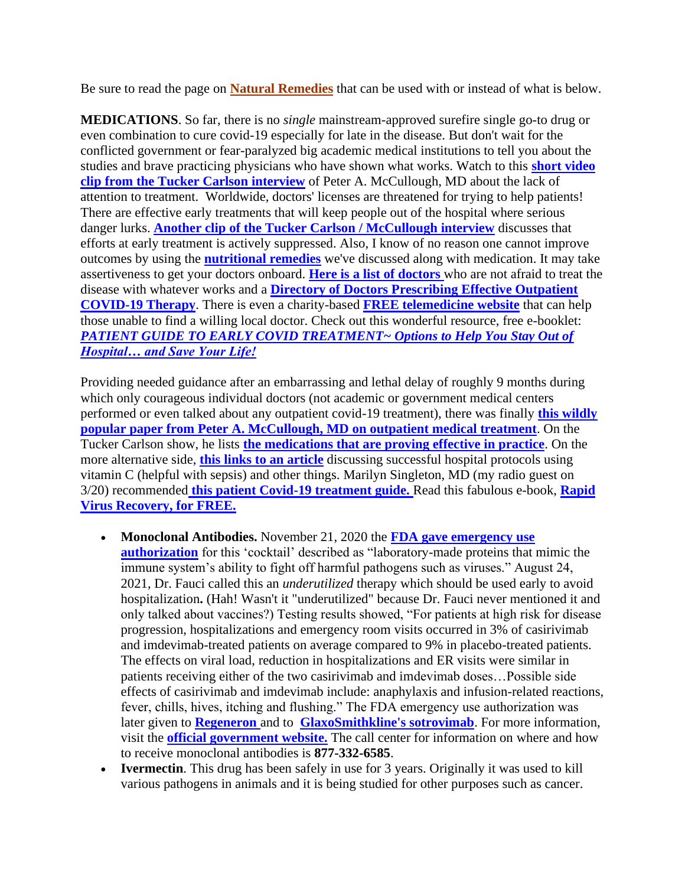Be sure to read the page on **[Natural Remedies](https://hbnshow.com/remedies-drugs/)** that can be used with or instead of what is below.

**MEDICATIONS**. So far, there is no *single* mainstream-approved surefire single go-to drug or even combination to cure covid-19 especially for late in the disease. But don't wait for the conflicted government or fear-paralyzed big academic medical institutions to tell you about the studies and brave practicing physicians who have shown what works. Watch to this **[short video](https://rumble.com/vgq8np-where-is-the-focus-on-covid-treatment.html)  [clip from the Tucker Carlson interview](https://rumble.com/vgq8np-where-is-the-focus-on-covid-treatment.html)** of Peter A. McCullough, MD about the lack of attention to treatment. Worldwide, doctors' licenses are threatened for trying to help patients! There are effective early treatments that will keep people out of the hospital where serious danger lurks. **[Another clip of the Tucker Carlson / McCullough interview](https://rumble.com/vgq95j-why-is-early-treatment-being-surpressed.html)** discusses that efforts at early treatment is actively suppressed. Also, I know of no reason one cannot improve outcomes by using the **[nutritional remedies](https://hbnshow.com/remedies-drugs/)** we've discussed along with medication. It may take assertiveness to get your doctors onboard. **[Here is a list of doctors](https://www.doctorsdontfearcovid.com/)** who are not afraid to treat the disease with whatever works and a **[Directory of Doctors Prescribing Effective Outpatient](https://www.exstnc.com/)  [COVID-19 Therapy](https://www.exstnc.com/)**. There is even a charity-based **[FREE telemedicine website](https://myfreedoctor.com/)** that can help those unable to find a willing local doctor. Check out this wonderful resource, free e-booklet: *[PATIENT GUIDE TO EARLY COVID TREATMENT~ Options to Help You Stay Out of](https://www.truthforhealth.org/patientguide/patient-treatment-guide/)  [Hospital… and Save Your Life!](https://www.truthforhealth.org/patientguide/patient-treatment-guide/)*

Providing needed guidance after an embarrassing and lethal delay of roughly 9 months during which only courageous individual doctors (not academic or government medical centers performed or even talked about any outpatient covid-19 treatment), there was finally **[this wildly](https://rcm.imrpress.com/EN/10.31083/j.rcm.2020.04.264)  [popular paper from Peter A. McCullough, MD](https://rcm.imrpress.com/EN/10.31083/j.rcm.2020.04.264) on outpatient medical treatment**. On the Tucker Carlson show, he lists **[the medications that are proving effective in practice](https://rumble.com/vgq9m5-what-medications-are-being-used-in-early-treatment.html)**. On the more alternative side, **[this links to an article](https://wholefoodsmagazine.com/columns/vitamin-connection/high-dose-vitamin-c-dr-mariks-math-and-hat-protocols-continue-to-save-lives/)** discussing successful hospital protocols using vitamin C (helpful with sepsis) and other things. Marilyn Singleton, MD (my radio guest on 3/20) recommended **[this patient Covid-19 treatment guide.](https://aapsonline.org/covidpatientguide/)** Read this fabulous e-book, **[Rapid](https://rvr.medfoxpub.com/)  [Virus Recovery](https://rvr.medfoxpub.com/)[, for FREE.](https://aapsonline.org/covidpatientguide/)**

- **Monoclonal Antibodies.** November 21, 2020 the **[FDA gave emergency use](https://www.fda.gov/news-events/press-announcements/coronavirus-covid-19-update-fda-authorizes-monoclonal-antibodies-treatment-covid-19)  [authorization](https://www.fda.gov/news-events/press-announcements/coronavirus-covid-19-update-fda-authorizes-monoclonal-antibodies-treatment-covid-19)** for this 'cocktail' described as "laboratory-made proteins that mimic the immune system's ability to fight off harmful pathogens such as viruses." August 24, 2021, Dr. Fauci called this an *underutilized* therapy which should be used early to avoid hospitalization**.** (Hah! Wasn't it "underutilized" because Dr. Fauci never mentioned it and only talked about vaccines?) Testing results showed, "For patients at high risk for disease progression, hospitalizations and emergency room visits occurred in 3% of casirivimab and imdevimab-treated patients on average compared to 9% in placebo-treated patients. The effects on viral load, reduction in hospitalizations and ER visits were similar in patients receiving either of the two casirivimab and imdevimab doses…Possible side effects of casirivimab and imdevimab include: anaphylaxis and infusion-related reactions, fever, chills, hives, itching and flushing." The FDA emergency use authorization was later given to **[Regeneron](https://www.regencov.com/)** and to **[GlaxoSmithkline's sotrovimab](https://www.gsk.com/en-gb/media/press-releases/gsk-and-vir-biotechnology-announce-sotrovimab-vir-7831-receives-emergency-use-authorization-from-the-us-fda/)**. For more information, visit the **[official government website.](https://combatcovid.hhs.gov/i-have-covid-19-now/faqs-about-monoclonal-antibodies-consumers)** The call center for information on where and how to receive monoclonal antibodies is **877-332-6585**.
- **Ivermectin**. This drug has been safely in use for 3 years. Originally it was used to kill various pathogens in animals and it is being studied for other purposes such as cancer.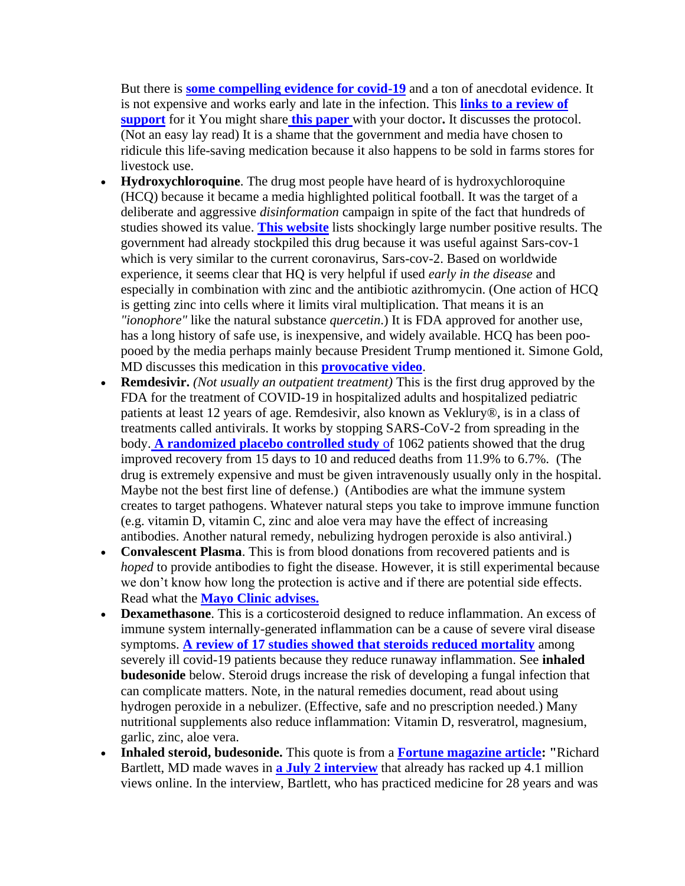But there is **[some compelling evidence for covid-19](https://rebelem.com/covid-19-update-ivermectin/)** and a ton of anecdotal evidence. It is not expensive and works early and late in the infection. This **[links to a review of](https://covid19criticalcare.com/wp-content/uploads/2020/11/FLCCC-Ivermectin-in-the-prophylaxis-and-treatment-of-COVID-19.pdf)  [support](https://covid19criticalcare.com/wp-content/uploads/2020/11/FLCCC-Ivermectin-in-the-prophylaxis-and-treatment-of-COVID-19.pdf)** for it You might share **[this paper](https://pubmed.ncbi.nlm.nih.gov/32559771/)** with your doctor**.** It discusses the protocol. (Not an easy lay read) It is a shame that the government and media have chosen to ridicule this life-saving medication because it also happens to be sold in farms stores for livestock use.

- **Hydroxychloroquine**. The drug most people have heard of is hydroxychloroquine (HCQ) because it became a media highlighted political football. It was the target of a deliberate and aggressive *disinformation* campaign in spite of the fact that hundreds of studies showed its value. **[This website](https://c19study.com/)** lists shockingly large number positive results. The government had already stockpiled this drug because it was useful against Sars-cov-1 which is very similar to the current coronavirus, Sars-cov-2. Based on worldwide experience, it seems clear that HQ is very helpful if used *early in the disease* and especially in combination with zinc and the antibiotic azithromycin. (One action of HCQ is getting zinc into cells where it limits viral multiplication. That means it is an *"ionophore"* like the natural substance *quercetin*.) It is FDA approved for another use, has a long history of safe use, is inexpensive, and widely available. HCQ has been poopooed by the media perhaps mainly because President Trump mentioned it. Simone Gold, MD discusses this medication in this **[provocative video](https://www.bitchute.com/video/2m2PRBUXdU74/)**.
- **Remdesivir.** *(Not usually an outpatient treatment)* This is the first drug approved by the FDA for the treatment of COVID-19 in hospitalized adults and hospitalized pediatric patients at least 12 years of age. Remdesivir, also known as Veklury®, is in a class of treatments called antivirals. It works by stopping SARS-CoV-2 from spreading in the body. **[A randomized placebo controlled study](https://www.nejm.org/doi/full/10.1056/NEJMoa2007764)** [of](https://www.nejm.org/doi/full/10.1056/NEJMoa2007764) 1062 patients showed that the drug improved recovery from 15 days to 10 and reduced deaths from 11.9% to 6.7%. (The drug is extremely expensive and must be given intravenously usually only in the hospital. Maybe not the best first line of defense.) (Antibodies are what the immune system creates to target pathogens. Whatever natural steps you take to improve immune function (e.g. vitamin D, vitamin C, zinc and aloe vera may have the effect of increasing antibodies. Another natural remedy, nebulizing hydrogen peroxide is also antiviral.)
- **Convalescent Plasma**. This is from blood donations from recovered patients and is *hoped* to provide antibodies to fight the disease. However, it is still experimental because we don't know how long the protection is active and if there are potential side effects. Read what the **[Mayo Clinic advises.](https://www.mayoclinic.org/tests-procedures/convalescent-plasma-therapy/about/pac-20486440?mc_id=google&campaign=10379200728&geo=9026802&kw=%2Bcovid%20%2Bplasma&ad=444183766706&network=g&sitetarget=&adgroup=102350354599&extension=&target=kwd-894049575574&matchtype=b&device=c&account=7470347919&placementsite=enterprise&gclid=CjwKCAiAirb_BRBNEiwALHlnD1LgquZOKoQhPykLSUjJ5CQPabf94GaVyHVJlh71V3ODVmBDvTCRExoCrxsQAvD_BwE)**
- **Dexamethasone**. This is a corticosteroid designed to reduce inflammation. An excess of immune system internally-generated inflammation can be a cause of severe viral disease symptoms. **[A review of 17 studies showed that steroids reduced mortality](https://jamanetwork.com/journals/jama/fullarticle/2770279)** among severely ill covid-19 patients because they reduce runaway inflammation. See **inhaled budesonide** below. Steroid drugs increase the risk of developing a fungal infection that can complicate matters. Note, in the natural remedies document, read about using hydrogen peroxide in a nebulizer. (Effective, safe and no prescription needed.) Many nutritional supplements also reduce inflammation: Vitamin D, resveratrol, magnesium, garlic, zinc, aloe vera.
- **Inhaled steroid, budesonide.** This quote is from a **[Fortune magazine article:](https://fortune.com/2020/07/24/budesonide-coronavirus-covid-richard-bartlett/) "**Richard Bartlett, MD made waves in **[a July 2 interview](https://www.youtube.com/watch?v=eDSDdwN2Xcg&feature=youtu.be)** that already has racked up 4.1 million views online. In the interview, Bartlett, who has practiced medicine for 28 years and was